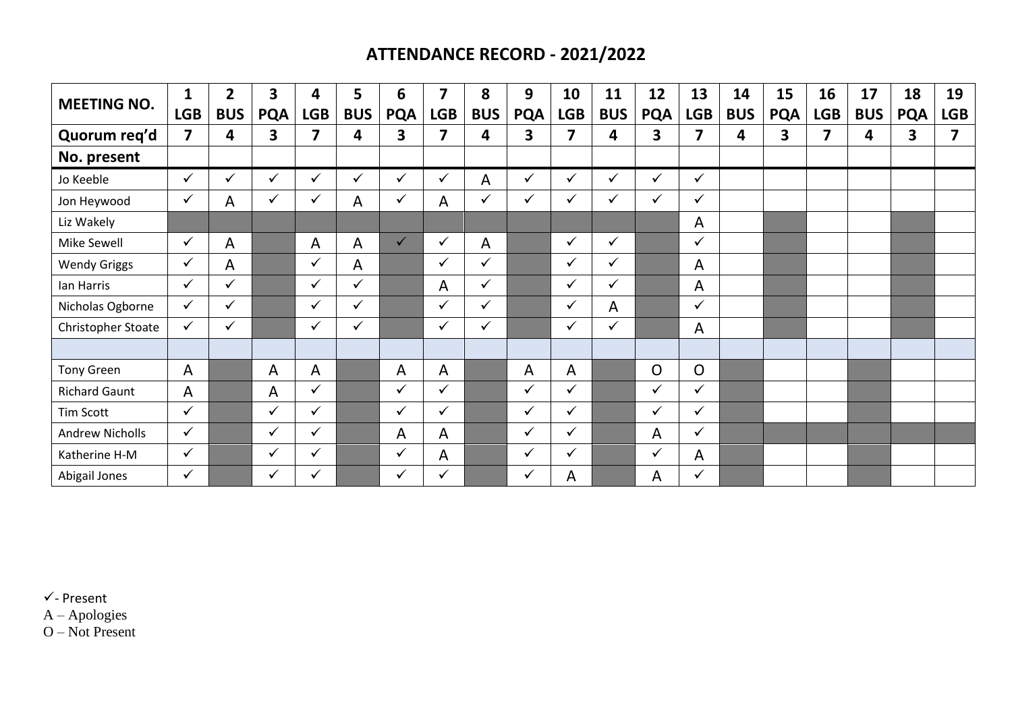## **ATTENDANCE RECORD - 2021/2022**

| <b>MEETING NO.</b>     | $\mathbf{1}$            | $\overline{2}$ | 3            | 4            | 5            | 6            | $\overline{\mathbf{z}}$ | 8            | 9            | 10           | 11           | 12             | 13             | 14         | 15         | 16         | 17         | 18         | 19         |
|------------------------|-------------------------|----------------|--------------|--------------|--------------|--------------|-------------------------|--------------|--------------|--------------|--------------|----------------|----------------|------------|------------|------------|------------|------------|------------|
|                        | <b>LGB</b>              | <b>BUS</b>     | <b>PQA</b>   | <b>LGB</b>   | <b>BUS</b>   | <b>PQA</b>   | <b>LGB</b>              | <b>BUS</b>   | <b>PQA</b>   | <b>LGB</b>   | <b>BUS</b>   | <b>PQA</b>     | <b>LGB</b>     | <b>BUS</b> | <b>PQA</b> | <b>LGB</b> | <b>BUS</b> | <b>PQA</b> | <b>LGB</b> |
| Quorum reg'd           | $\overline{\mathbf{z}}$ | 4              | 3            | 7            | 4            | 3            | 7                       | 4            | 3            | 7            | 4            | 3              | 7              | 4          | 3          | 7          | 4          | 3          | 7          |
| No. present            |                         |                |              |              |              |              |                         |              |              |              |              |                |                |            |            |            |            |            |            |
| Jo Keeble              | $\checkmark$            | ✓              | ✓            | $\checkmark$ | $\checkmark$ | $\checkmark$ | $\checkmark$            | A            | $\checkmark$ | $\checkmark$ | $\checkmark$ | ✓              | $\checkmark$   |            |            |            |            |            |            |
| Jon Heywood            | $\checkmark$            | Α              | ✓            | ✓            | A            | $\checkmark$ | A                       | $\checkmark$ | $\checkmark$ | $\checkmark$ | $\checkmark$ | ✓              | $\checkmark$   |            |            |            |            |            |            |
| Liz Wakely             |                         |                |              |              |              |              |                         |              |              |              |              |                | A              |            |            |            |            |            |            |
| Mike Sewell            | $\checkmark$            | A              |              | A            | A            | $\checkmark$ | $\checkmark$            | A            |              | $\checkmark$ | ✓            |                | ✓              |            |            |            |            |            |            |
| <b>Wendy Griggs</b>    | $\checkmark$            | A              |              | ✓            | A            |              | ✓                       | $\checkmark$ |              | $\checkmark$ | ✓            |                | A              |            |            |            |            |            |            |
| Ian Harris             | $\checkmark$            | $\checkmark$   |              | ✓            | $\checkmark$ |              | A                       | ✓            |              | $\checkmark$ | ✓            |                | A              |            |            |            |            |            |            |
| Nicholas Ogborne       | $\checkmark$            | $\checkmark$   |              | ✓            | ✓            |              | $\checkmark$            | $\checkmark$ |              | $\checkmark$ | A            |                | $\checkmark$   |            |            |            |            |            |            |
| Christopher Stoate     | ✓                       | ✓              |              | ✓            | ✓            |              | $\checkmark$            | ✓            |              | $\checkmark$ | ✓            |                | A              |            |            |            |            |            |            |
|                        |                         |                |              |              |              |              |                         |              |              |              |              |                |                |            |            |            |            |            |            |
| <b>Tony Green</b>      | $\mathsf{A}$            |                | A            | A            |              | A            | A                       |              | A            | A            |              | $\overline{O}$ | $\overline{O}$ |            |            |            |            |            |            |
| <b>Richard Gaunt</b>   | A                       |                | A            | ✓            |              | $\checkmark$ | ✓                       |              | $\checkmark$ | $\checkmark$ |              | $\checkmark$   | $\checkmark$   |            |            |            |            |            |            |
| <b>Tim Scott</b>       | $\checkmark$            |                | $\checkmark$ | $\checkmark$ |              | $\checkmark$ | $\checkmark$            |              | $\checkmark$ | $\checkmark$ |              | $\checkmark$   | $\checkmark$   |            |            |            |            |            |            |
| <b>Andrew Nicholls</b> | $\checkmark$            |                | $\checkmark$ | ✓            |              | A            | A                       |              | $\checkmark$ | $\checkmark$ |              | A              | $\checkmark$   |            |            |            |            |            |            |
| Katherine H-M          | $\checkmark$            |                | $\checkmark$ | ✓            |              | $\checkmark$ | A                       |              | $\checkmark$ | $\checkmark$ |              | ✓              | A              |            |            |            |            |            |            |
| Abigail Jones          | $\checkmark$            |                | ✓            | ✓            |              | $\checkmark$ | ✓                       |              | $\checkmark$ | A            |              | A              | ✓              |            |            |            |            |            |            |

 $\checkmark$ - Present

A – Apologies

O – Not Present